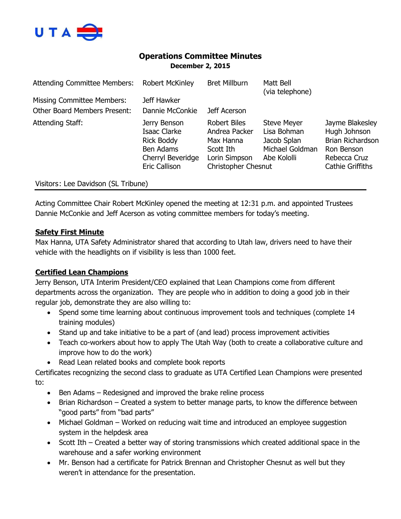

# **Operations Committee Minutes December 2, 2015**

| <b>Attending Committee Members:</b> | <b>Robert McKinley</b>                                                                               | <b>Bret Millburn</b>                                                                                          | Matt Bell<br>(via telephone)                                                       |                                                                                                                     |
|-------------------------------------|------------------------------------------------------------------------------------------------------|---------------------------------------------------------------------------------------------------------------|------------------------------------------------------------------------------------|---------------------------------------------------------------------------------------------------------------------|
| <b>Missing Committee Members:</b>   | Jeff Hawker                                                                                          |                                                                                                               |                                                                                    |                                                                                                                     |
| <b>Other Board Members Present:</b> | Dannie McConkie                                                                                      | Jeff Acerson                                                                                                  |                                                                                    |                                                                                                                     |
| Attending Staff:                    | Jerry Benson<br>Isaac Clarke<br><b>Rick Boddy</b><br>Ben Adams<br>Cherryl Beveridge<br>Eric Callison | <b>Robert Biles</b><br>Andrea Packer<br>Max Hanna<br>Scott Ith<br>Lorin Simpson<br><b>Christopher Chesnut</b> | <b>Steve Meyer</b><br>Lisa Bohman<br>Jacob Splan<br>Michael Goldman<br>Abe Kololli | Jayme Blakesley<br>Hugh Johnson<br><b>Brian Richardson</b><br>Ron Benson<br>Rebecca Cruz<br><b>Cathie Griffiths</b> |

Visitors: Lee Davidson (SL Tribune)

Acting Committee Chair Robert McKinley opened the meeting at 12:31 p.m. and appointed Trustees Dannie McConkie and Jeff Acerson as voting committee members for today's meeting.

# **Safety First Minute**

Max Hanna, UTA Safety Administrator shared that according to Utah law, drivers need to have their vehicle with the headlights on if visibility is less than 1000 feet.

# **Certified Lean Champions**

Jerry Benson, UTA Interim President/CEO explained that Lean Champions come from different departments across the organization. They are people who in addition to doing a good job in their regular job, demonstrate they are also willing to:

- Spend some time learning about continuous improvement tools and techniques (complete 14 training modules)
- Stand up and take initiative to be a part of (and lead) process improvement activities
- Teach co-workers about how to apply The Utah Way (both to create a collaborative culture and improve how to do the work)
- Read Lean related books and complete book reports

Certificates recognizing the second class to graduate as UTA Certified Lean Champions were presented to:

- Ben Adams Redesigned and improved the brake reline process
- Brian Richardson Created a system to better manage parts, to know the difference between "good parts" from "bad parts"
- Michael Goldman Worked on reducing wait time and introduced an employee suggestion system in the helpdesk area
- Scott Ith Created a better way of storing transmissions which created additional space in the warehouse and a safer working environment
- Mr. Benson had a certificate for Patrick Brennan and Christopher Chesnut as well but they weren't in attendance for the presentation.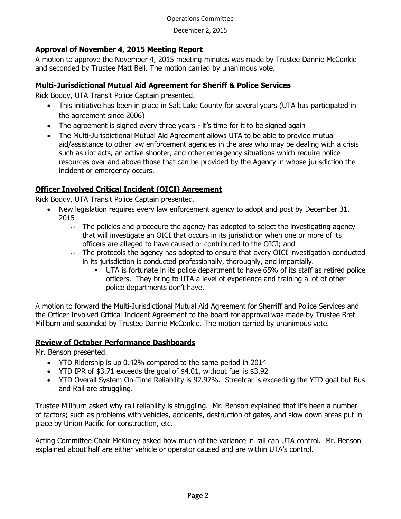# **Approval of November 4, 2015 Meeting Report**

A motion to approve the November 4, 2015 meeting minutes was made by Trustee Dannie McConkie and seconded by Trustee Matt Bell. The motion carried by unanimous vote.

# **Multi-Jurisdictional Mutual Aid Agreement for Sheriff & Police Services**

Rick Boddy, UTA Transit Police Captain presented.

- This initiative has been in place in Salt Lake County for several years (UTA has participated in the agreement since 2006)
- The agreement is signed every three years it's time for it to be signed again
- The Multi-Jurisdictional Mutual Aid Agreement allows UTA to be able to provide mutual aid/assistance to other law enforcement agencies in the area who may be dealing with a crisis such as riot acts, an active shooter, and other emergency situations which require police resources over and above those that can be provided by the Agency in whose jurisdiction the incident or emergency occurs.

# **Officer Involved Critical Incident (OICI) Agreement**

Rick Boddy, UTA Transit Police Captain presented.

- New legislation requires every law enforcement agency to adopt and post by December 31, 2015
	- $\circ$  The policies and procedure the agency has adopted to select the investigating agency that will investigate an OICI that occurs in its jurisdiction when one or more of its officers are alleged to have caused or contributed to the OICI; and
	- $\circ$  The protocols the agency has adopted to ensure that every OICI investigation conducted in its jurisdiction is conducted professionally, thoroughly, and impartially.
		- UTA is fortunate in its police department to have 65% of its staff as retired police officers. They bring to UTA a level of experience and training a lot of other police departments don't have.

A motion to forward the Multi-Jurisdictional Mutual Aid Agreement for Sherriff and Police Services and the Officer Involved Critical Incident Agreement to the board for approval was made by Trustee Bret Millburn and seconded by Trustee Dannie McConkie. The motion carried by unanimous vote.

# **Review of October Performance Dashboards**

Mr. Benson presented.

- YTD Ridership is up 0.42% compared to the same period in 2014
- YTD IPR of \$3.71 exceeds the goal of \$4.01, without fuel is \$3.92
- YTD Overall System On-Time Reliability is 92.97%. Streetcar is exceeding the YTD goal but Bus and Rail are struggling.

Trustee Millburn asked why rail reliability is struggling. Mr. Benson explained that it's been a number of factors; such as problems with vehicles, accidents, destruction of gates, and slow down areas put in place by Union Pacific for construction, etc.

Acting Committee Chair McKinley asked how much of the variance in rail can UTA control. Mr. Benson explained about half are either vehicle or operator caused and are within UTA's control.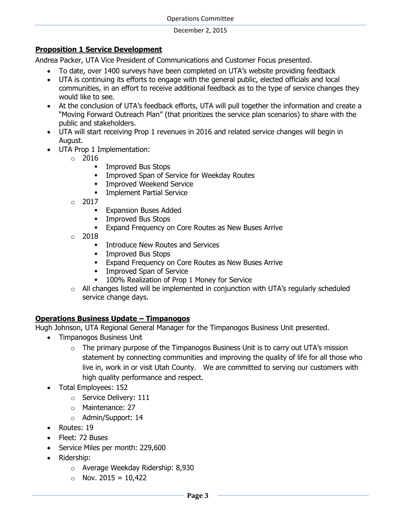### **Proposition 1 Service Development**

Andrea Packer, UTA Vice President of Communications and Customer Focus presented.

- To date, over 1400 surveys have been completed on UTA's website providing feedback
- UTA is continuing its efforts to engage with the general public, elected officials and local communities, in an effort to receive additional feedback as to the type of service changes they would like to see.
- At the conclusion of UTA's feedback efforts, UTA will pull together the information and create a "Moving Forward Outreach Plan" (that prioritizes the service plan scenarios) to share with the public and stakeholders.
- UTA will start receiving Prop 1 revenues in 2016 and related service changes will begin in August.
- UTA Prop 1 Implementation:
	- o 2016
		- **Improved Bus Stops**
		- **Improved Span of Service for Weekday Routes**
		- **Improved Weekend Service**
		- Implement Partial Service
	- $\circ$  2017
		- **Expansion Buses Added**
		- **Improved Bus Stops**
		- Expand Frequency on Core Routes as New Buses Arrive
	- $\circ$  2018
		- **Introduce New Routes and Services**
		- **Improved Bus Stops**
		- **Expand Frequency on Core Routes as New Buses Arrive**
		- **Improved Span of Service**
		- 100% Realization of Prop 1 Money for Service
	- $\circ$  All changes listed will be implemented in conjunction with UTA's regularly scheduled service change days.

# **Operations Business Update – Timpanogos**

Hugh Johnson, UTA Regional General Manager for the Timpanogos Business Unit presented.

- Timpanogos Business Unit
	- $\circ$  The primary purpose of the Timpanogos Business Unit is to carry out UTA's mission statement by connecting communities and improving the quality of life for all those who live in, work in or visit Utah County. We are committed to serving our customers with high quality performance and respect.
- Total Employees: 152
	- o Service Delivery: 111
	- o Maintenance: 27
	- o Admin/Support: 14
- Routes: 19
- Fleet: 72 Buses
- Service Miles per month: 229,600
- Ridership:
	- o Average Weekday Ridership: 8,930
	- $\circ$  Nov. 2015 = 10,422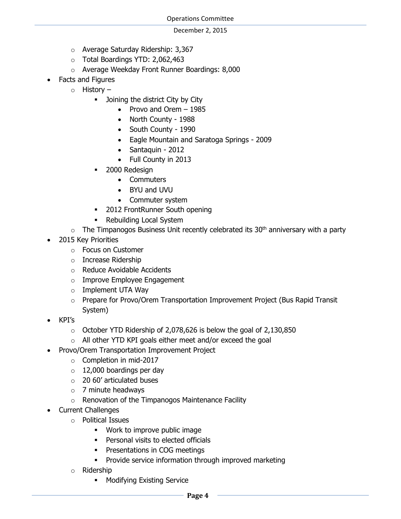- o Average Saturday Ridership: 3,367
- o Total Boardings YTD: 2,062,463
- o Average Weekday Front Runner Boardings: 8,000
- Facts and Figures
	- o History
		- **-** Joining the district City by City
			- Provo and Orem  $-1985$
			- North County 1988
			- South County 1990
			- Eagle Mountain and Saratoga Springs 2009
			- Santaquin 2012
			- Full County in 2013
		- 2000 Redesign
			- Commuters
			- BYU and UVU
			- Commuter system
		- 2012 FrontRunner South opening
		- Rebuilding Local System
	- $\circ$  The Timpanogos Business Unit recently celebrated its 30<sup>th</sup> anniversary with a party
- 2015 Key Priorities
	- o Focus on Customer
	- o Increase Ridership
	- o Reduce Avoidable Accidents
	- o Improve Employee Engagement
	- o Implement UTA Way
	- $\circ$  Prepare for Provo/Orem Transportation Improvement Project (Bus Rapid Transit System)
- KPI's
	- $\circ$  October YTD Ridership of 2,078,626 is below the goal of 2,130,850
	- o All other YTD KPI goals either meet and/or exceed the goal
- Provo/Orem Transportation Improvement Project
	- o Completion in mid-2017
	- $\circ$  12,000 boardings per day
	- o 20 60' articulated buses
	- $\circ$  7 minute headways
	- o Renovation of the Timpanogos Maintenance Facility
- Current Challenges
	- o Political Issues
		- **Work to improve public image**
		- **•** Personal visits to elected officials
		- **•** Presentations in COG meetings
		- Provide service information through improved marketing
	- o Ridership
		- **Modifying Existing Service**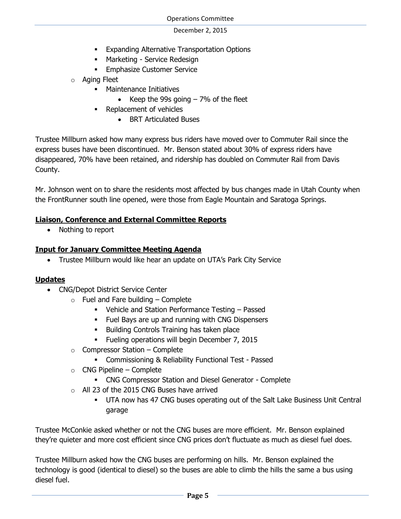- **Expanding Alternative Transportation Options**
- **•** Marketing Service Redesign
- **Emphasize Customer Service**
- o Aging Fleet
	- Maintenance Initiatives
		- Excep the 99s going  $-7%$  of the fleet
	- Replacement of vehicles
		- BRT Articulated Buses

Trustee Millburn asked how many express bus riders have moved over to Commuter Rail since the express buses have been discontinued. Mr. Benson stated about 30% of express riders have disappeared, 70% have been retained, and ridership has doubled on Commuter Rail from Davis County.

Mr. Johnson went on to share the residents most affected by bus changes made in Utah County when the FrontRunner south line opened, were those from Eagle Mountain and Saratoga Springs.

# **Liaison, Conference and External Committee Reports**

• Nothing to report

# **Input for January Committee Meeting Agenda**

Trustee Millburn would like hear an update on UTA's Park City Service

# **Updates**

- CNG/Depot District Service Center
	- $\circ$  Fuel and Fare building Complete
		- Vehicle and Station Performance Testing Passed
		- Fuel Bays are up and running with CNG Dispensers
		- **Building Controls Training has taken place**
		- Fueling operations will begin December 7, 2015
	- $\circ$  Compressor Station Complete
		- Commissioning & Reliability Functional Test Passed
	- $\circ$  CNG Pipeline Complete
		- CNG Compressor Station and Diesel Generator Complete
	- o All 23 of the 2015 CNG Buses have arrived
		- UTA now has 47 CNG buses operating out of the Salt Lake Business Unit Central garage

Trustee McConkie asked whether or not the CNG buses are more efficient. Mr. Benson explained they're quieter and more cost efficient since CNG prices don't fluctuate as much as diesel fuel does.

Trustee Millburn asked how the CNG buses are performing on hills. Mr. Benson explained the technology is good (identical to diesel) so the buses are able to climb the hills the same a bus using diesel fuel.